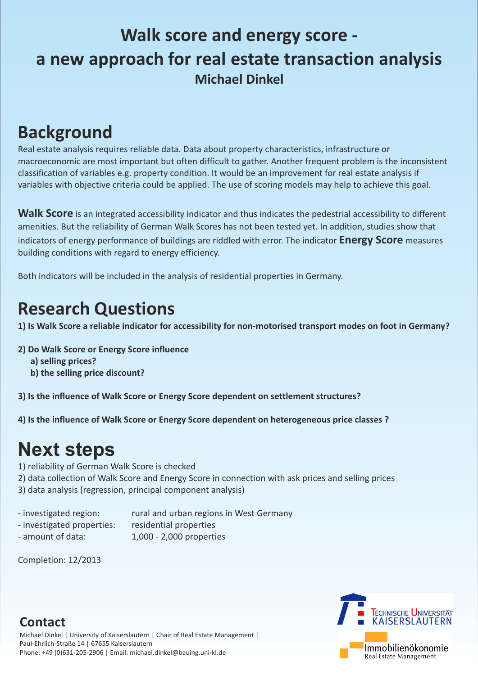## **Walk score and energy score a new approach for real estate transaction analysis Michael Dinkel**

## **Background**

Real estate analysis requires reliable data. Data about property characteristics, infrastructure or macroeconomic are most important but often difficult to gather. Another frequent problem is the inconsistent classification of variables e.g. property condition. It would be an improvement for real estate analysis if variables with objective criteria could be applied. The use of scoring models may help to achieve this goal.

Walk Score is an integrated accessibility indicator and thus indicates the pedestrial accessibility to different amenities. But the reliability of German Walk Scores has not been tested yet. In addition, studies show that indicators of energy performance of buildings are riddled with error. The indicator **Energy Score** measures building conditions with regard to energy efficiency.

- 2) data collection of Walk Score and Energy Score in connection with ask prices and selling prices
- 3) data analysis (regression, principal component analysis)
- 
- investigated region: rural and urban regions in West Germany
- investigated properties: residential properties
- amount of data:  $1,000 2,000$  properties
- 

Both indicators will be included in the analysis of residential properties in Germany.

## **Research Questions**

**1) Is Walk Score a reliable indicator for accessibility for non-motorised transport modes on foot in Germany?**

**2) Do Walk Score or Energy Score influence**

- **a) selling prices?**
- **b) the selling price discount?**

**3) Is the influence of Walk Score or Energy Score dependent on settlement structures?**

**4) Is the influence of Walk Score or Energy Score dependent on heterogeneous price classes ?**

## **Next steps**

1) reliability of German Walk Score is checked

Completion: 12/2013

### **Contact**

Michael Dinkel | University of Kaiserslautern | Chair of Real Estate Management | Paul-Ehrlich-Straße 14 | 67655 Kaiserslautern Phone: +49 (0)631-205-2906 | Email: michael.dinkel@bauing.uni-kl.de